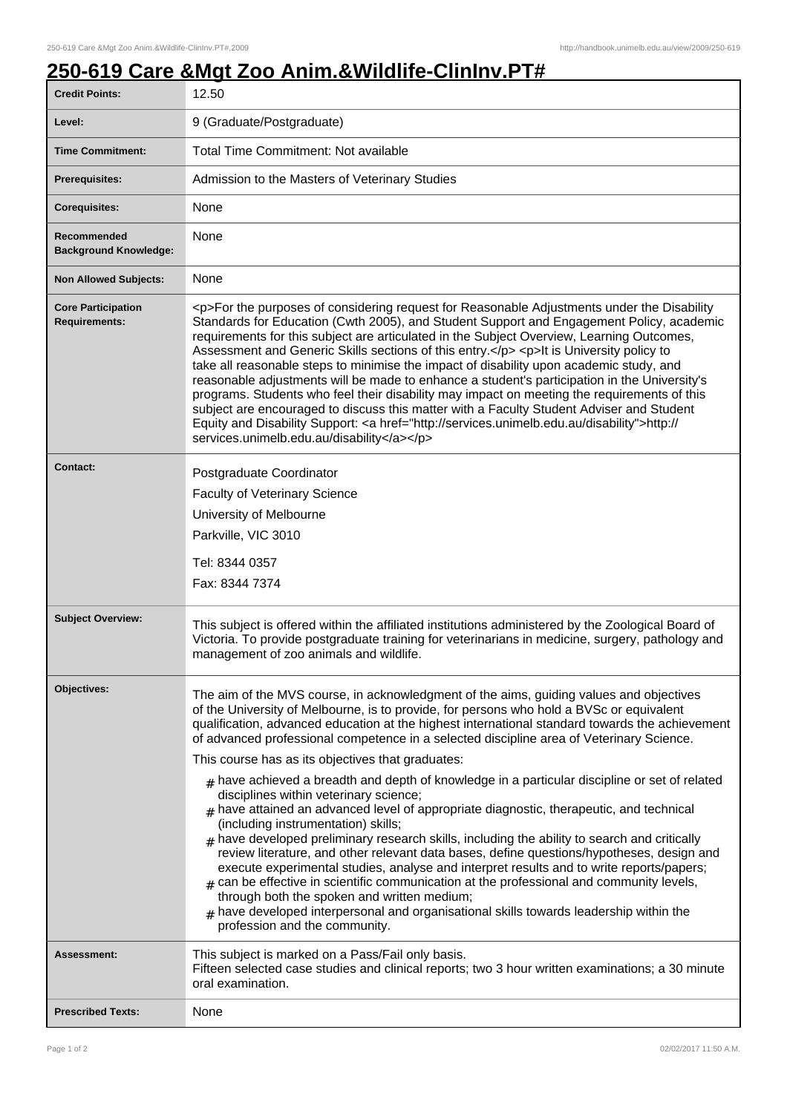## **250-619 Care &Mgt Zoo Anim.&Wildlife-ClinInv.PT#**

| <b>Credit Points:</b>                             | 12.50                                                                                                                                                                                                                                                                                                                                                                                                                                                                                                                                                                                                                                                                                                                                                                                                                                                                                                                        |
|---------------------------------------------------|------------------------------------------------------------------------------------------------------------------------------------------------------------------------------------------------------------------------------------------------------------------------------------------------------------------------------------------------------------------------------------------------------------------------------------------------------------------------------------------------------------------------------------------------------------------------------------------------------------------------------------------------------------------------------------------------------------------------------------------------------------------------------------------------------------------------------------------------------------------------------------------------------------------------------|
| Level:                                            | 9 (Graduate/Postgraduate)                                                                                                                                                                                                                                                                                                                                                                                                                                                                                                                                                                                                                                                                                                                                                                                                                                                                                                    |
| <b>Time Commitment:</b>                           | Total Time Commitment: Not available                                                                                                                                                                                                                                                                                                                                                                                                                                                                                                                                                                                                                                                                                                                                                                                                                                                                                         |
| <b>Prerequisites:</b>                             | Admission to the Masters of Veterinary Studies                                                                                                                                                                                                                                                                                                                                                                                                                                                                                                                                                                                                                                                                                                                                                                                                                                                                               |
| <b>Corequisites:</b>                              | None                                                                                                                                                                                                                                                                                                                                                                                                                                                                                                                                                                                                                                                                                                                                                                                                                                                                                                                         |
| Recommended<br><b>Background Knowledge:</b>       | <b>None</b>                                                                                                                                                                                                                                                                                                                                                                                                                                                                                                                                                                                                                                                                                                                                                                                                                                                                                                                  |
| <b>Non Allowed Subjects:</b>                      | None                                                                                                                                                                                                                                                                                                                                                                                                                                                                                                                                                                                                                                                                                                                                                                                                                                                                                                                         |
| <b>Core Participation</b><br><b>Requirements:</b> | <p>For the purposes of considering request for Reasonable Adjustments under the Disability<br/>Standards for Education (Cwth 2005), and Student Support and Engagement Policy, academic<br/>requirements for this subject are articulated in the Subject Overview, Learning Outcomes,<br/>Assessment and Generic Skills sections of this entry.</p> <p>lt is University policy to<br/>take all reasonable steps to minimise the impact of disability upon academic study, and<br/>reasonable adjustments will be made to enhance a student's participation in the University's<br/>programs. Students who feel their disability may impact on meeting the requirements of this<br/>subject are encouraged to discuss this matter with a Faculty Student Adviser and Student<br/>Equity and Disability Support: &lt; a href="http://services.unimelb.edu.au/disability"&gt;http://<br/>services.unimelb.edu.au/disability</p> |
| Contact:                                          | Postgraduate Coordinator<br><b>Faculty of Veterinary Science</b><br>University of Melbourne<br>Parkville, VIC 3010<br>Tel: 8344 0357<br>Fax: 8344 7374                                                                                                                                                                                                                                                                                                                                                                                                                                                                                                                                                                                                                                                                                                                                                                       |
| <b>Subject Overview:</b>                          | This subject is offered within the affiliated institutions administered by the Zoological Board of<br>Victoria. To provide postgraduate training for veterinarians in medicine, surgery, pathology and<br>management of zoo animals and wildlife.                                                                                                                                                                                                                                                                                                                                                                                                                                                                                                                                                                                                                                                                            |
| Objectives:                                       | The aim of the MVS course, in acknowledgment of the aims, guiding values and objectives<br>of the University of Melbourne, is to provide, for persons who hold a BVSc or equivalent<br>qualification, advanced education at the highest international standard towards the achievement<br>of advanced professional competence in a selected discipline area of Veterinary Science.<br>This course has as its objectives that graduates:<br>$#$ have achieved a breadth and depth of knowledge in a particular discipline or set of related<br>disciplines within veterinary science;                                                                                                                                                                                                                                                                                                                                         |
|                                                   | $#$ have attained an advanced level of appropriate diagnostic, therapeutic, and technical<br>(including instrumentation) skills;<br>$_{\text{\#}}$ have developed preliminary research skills, including the ability to search and critically<br>review literature, and other relevant data bases, define questions/hypotheses, design and<br>execute experimental studies, analyse and interpret results and to write reports/papers;<br>can be effective in scientific communication at the professional and community levels,<br>#<br>through both the spoken and written medium;<br>$#$ have developed interpersonal and organisational skills towards leadership within the<br>profession and the community.                                                                                                                                                                                                            |
| Assessment:                                       | This subject is marked on a Pass/Fail only basis.<br>Fifteen selected case studies and clinical reports; two 3 hour written examinations; a 30 minute<br>oral examination.                                                                                                                                                                                                                                                                                                                                                                                                                                                                                                                                                                                                                                                                                                                                                   |
| <b>Prescribed Texts:</b>                          | None                                                                                                                                                                                                                                                                                                                                                                                                                                                                                                                                                                                                                                                                                                                                                                                                                                                                                                                         |